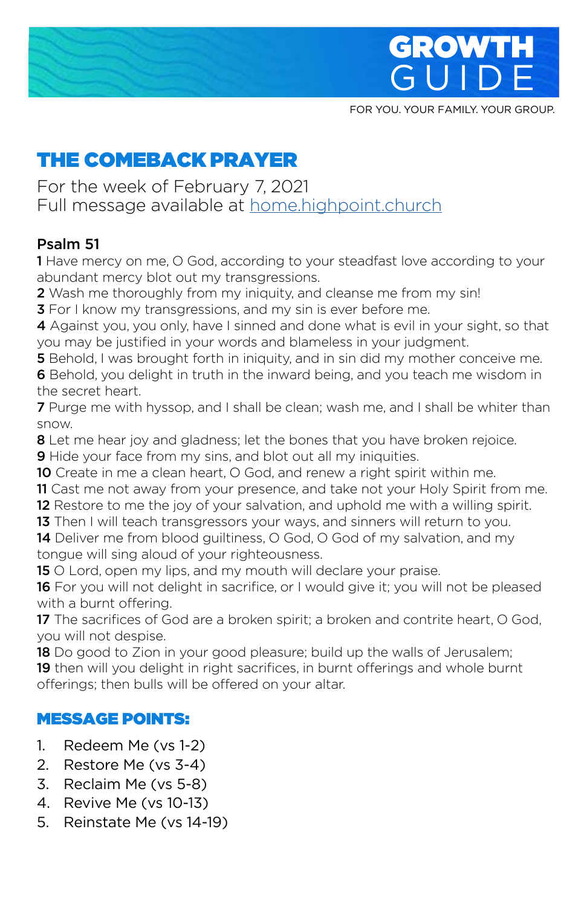

**GUIDE** FOR YOU. YOUR FAMILY. YOUR GROUP.

GUIDE

# THE COMEBACK PRAYER

For the week of February 7, 2021 Full message available at home.highpoint.church

#### Psalm 51

1 Have mercy on me, O God, according to your steadfast love according to your abundant mercy blot out my transgressions.

2 Wash me thoroughly from my iniquity, and cleanse me from my sin!

**3** For I know my transgressions, and my sin is ever before me.

4 Against you, you only, have I sinned and done what is evil in your sight, so that you may be justified in your words and blameless in your judgment.

**5** Behold, I was brought forth in iniquity, and in sin did my mother conceive me.

**6** Behold, you delight in truth in the inward being, and you teach me wisdom in the secret heart.

7 Purge me with hyssop, and I shall be clean; wash me, and I shall be whiter than snow.

**8** Let me hear joy and gladness; let the bones that you have broken rejoice.

**9** Hide your face from my sins, and blot out all my iniquities.

- 10 Create in me a clean heart, O God, and renew a right spirit within me.
- 11 Cast me not away from your presence, and take not your Holy Spirit from me.
- 12 Restore to me the joy of your salvation, and uphold me with a willing spirit.
- 13 Then I will teach transgressors your ways, and sinners will return to you.

14 Deliver me from blood quiltiness, O God, O God of my salvation, and my tongue will sing aloud of your righteousness.

15 O Lord, open my lips, and my mouth will declare your praise.

16 For you will not delight in sacrifice, or I would give it; you will not be pleased with a burnt offering.

17 The sacrifices of God are a broken spirit; a broken and contrite heart, O God, you will not despise.

**18** Do good to Zion in your good pleasure; build up the walls of Jerusalem; 19 then will you delight in right sacrifices, in burnt offerings and whole burnt

offerings; then bulls will be offered on your altar.

## MESSAGE POINTS:

- 1. Redeem Me (vs 1-2)
- 2. Restore Me (vs 3-4)
- 3. Reclaim Me (vs 5-8)
- 4. Revive Me (vs 10-13)
- 5. Reinstate Me (vs 14-19)